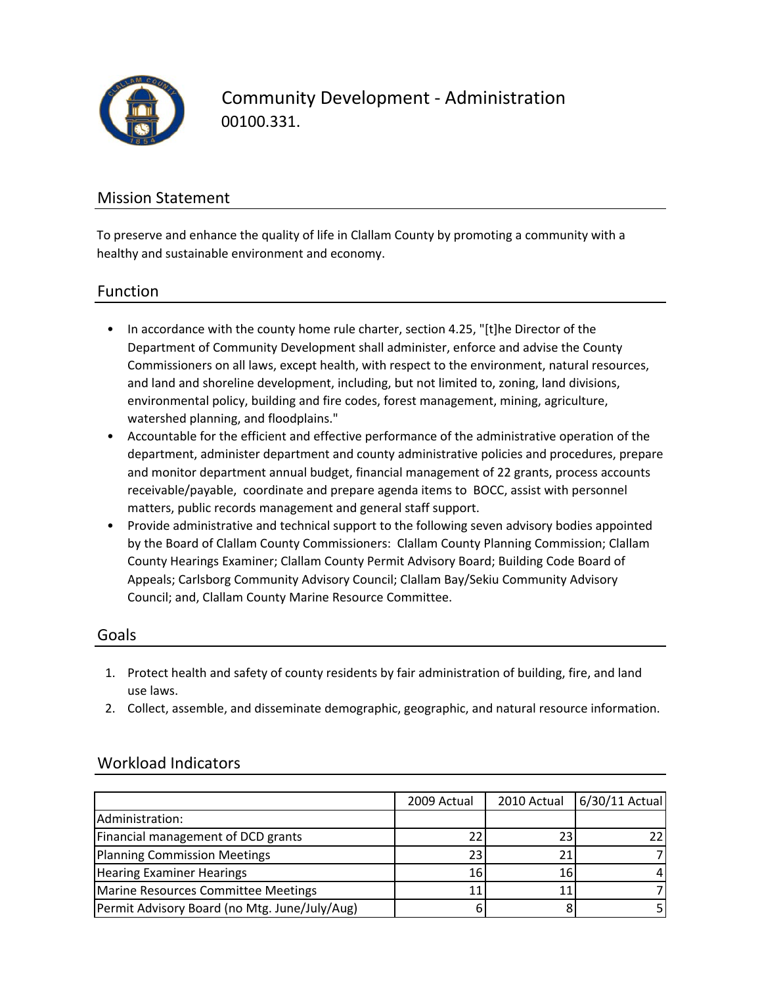

Community Development ‐ Administration 00100.331.

## Mission Statement

To preserve and enhance the quality of life in Clallam County by promoting a community with a healthy and sustainable environment and economy.

### Function

- In accordance with the county home rule charter, section 4.25, "[t]he Director of the Department of Community Development shall administer, enforce and advise the County Commissioners on all laws, except health, with respect to the environment, natural resources, and land and shoreline development, including, but not limited to, zoning, land divisions, environmental policy, building and fire codes, forest management, mining, agriculture, watershed planning, and floodplains."
- Accountable for the efficient and effective performance of the administrative operation of the department, administer department and county administrative policies and procedures, prepare and monitor department annual budget, financial management of 22 grants, process accounts receivable/payable, coordinate and prepare agenda items to BOCC, assist with personnel matters, public records management and general staff support.
- Provide administrative and technical support to the following seven advisory bodies appointed by the Board of Clallam County Commissioners: Clallam County Planning Commission; Clallam County Hearings Examiner; Clallam County Permit Advisory Board; Building Code Board of Appeals; Carlsborg Community Advisory Council; Clallam Bay/Sekiu Community Advisory Council; and, Clallam County Marine Resource Committee.

### Goals

- 1. Protect health and safety of county residents by fair administration of building, fire, and land use laws.
- 2. Collect, assemble, and disseminate demographic, geographic, and natural resource information.

|                                               | 2009 Actual | 2010 Actual | 6/30/11 Actual |
|-----------------------------------------------|-------------|-------------|----------------|
| Administration:                               |             |             |                |
| Financial management of DCD grants            |             |             |                |
| Planning Commission Meetings                  | 23.         |             |                |
| <b>Hearing Examiner Hearings</b>              | <b>16</b>   | 16          |                |
| Marine Resources Committee Meetings           |             |             |                |
| Permit Advisory Board (no Mtg. June/July/Aug) |             |             |                |

## Workload Indicators